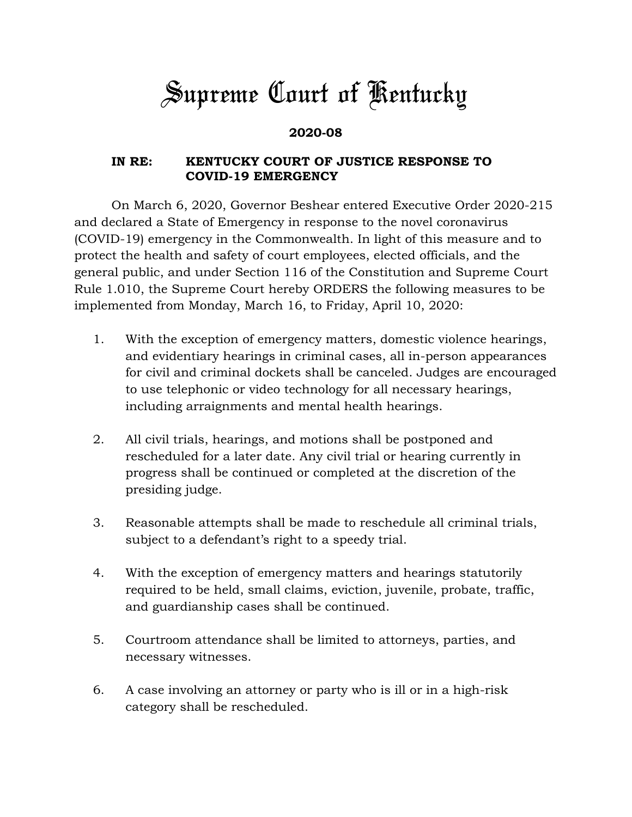## *Supreme Court of Kentucky*

## **2020-08**

## **IN RE: KENTUCKY COURT OF JUSTICE RESPONSE TO COVID-19 EMERGENCY**

On March 6, 2020, Governor Beshear entered Executive Order 2020-215 and declared a State of Emergency in response to the novel coronavirus (COVID-19) emergency in the Commonwealth. In light of this measure and to protect the health and safety of court employees, elected officials, and the general public, and under Section 116 of the Constitution and Supreme Court Rule 1.010, the Supreme Court hereby ORDERS the following measures to be implemented from Monday, March 16, to Friday, April 10, 2020:

- 1. With the exception of emergency matters, domestic violence hearings, and evidentiary hearings in criminal cases, all in-person appearances for civil and criminal dockets shall be canceled. Judges are encouraged to use telephonic or video technology for all necessary hearings, including arraignments and mental health hearings.
- 2. All civil trials, hearings, and motions shall be postponed and rescheduled for a later date. Any civil trial or hearing currently in progress shall be continued or completed at the discretion of the presiding judge.
- 3. Reasonable attempts shall be made to reschedule all criminal trials, subject to a defendant's right to a speedy trial.
- 4. With the exception of emergency matters and hearings statutorily required to be held, small claims, eviction, juvenile, probate, traffic, and guardianship cases shall be continued.
- 5. Courtroom attendance shall be limited to attorneys, parties, and necessary witnesses.
- 6. A case involving an attorney or party who is ill or in a high-risk category shall be rescheduled.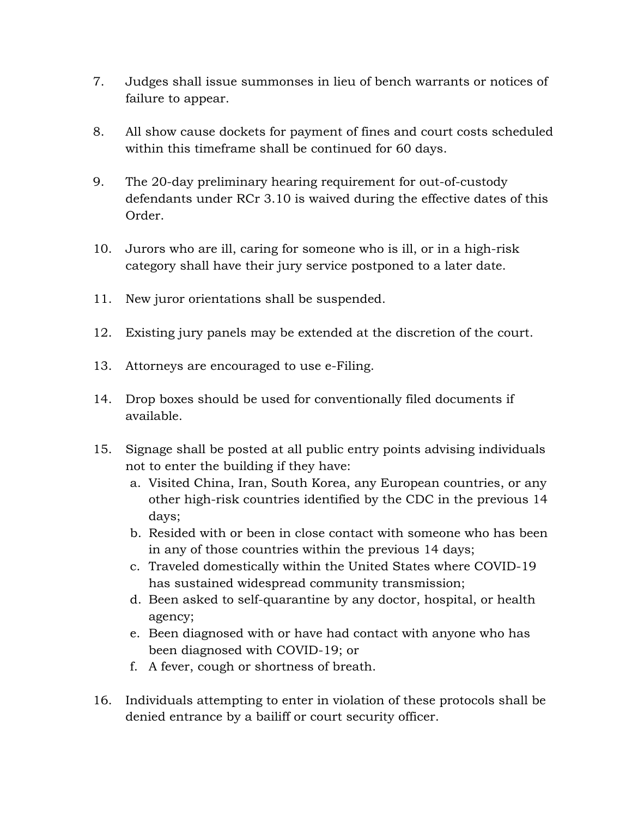- 7. Judges shall issue summonses in lieu of bench warrants or notices of failure to appear.
- 8. All show cause dockets for payment of fines and court costs scheduled within this timeframe shall be continued for 60 days.
- 9. The 20-day preliminary hearing requirement for out-of-custody defendants under RCr 3.10 is waived during the effective dates of this Order.
- 10. Jurors who are ill, caring for someone who is ill, or in a high-risk category shall have their jury service postponed to a later date.
- 11. New juror orientations shall be suspended.
- 12. Existing jury panels may be extended at the discretion of the court.
- 13. Attorneys are encouraged to use e-Filing.
- 14. Drop boxes should be used for conventionally filed documents if available.
- 15. Signage shall be posted at all public entry points advising individuals not to enter the building if they have:
	- a. Visited China, Iran, South Korea, any European countries, or any other high-risk countries identified by the CDC in the previous 14 days;
	- b. Resided with or been in close contact with someone who has been in any of those countries within the previous 14 days;
	- c. Traveled domestically within the United States where COVID-19 has sustained widespread community transmission;
	- d. Been asked to self-quarantine by any doctor, hospital, or health agency;
	- e. Been diagnosed with or have had contact with anyone who has been diagnosed with COVID-19; or
	- f. A fever, cough or shortness of breath.
- 16. Individuals attempting to enter in violation of these protocols shall be denied entrance by a bailiff or court security officer.